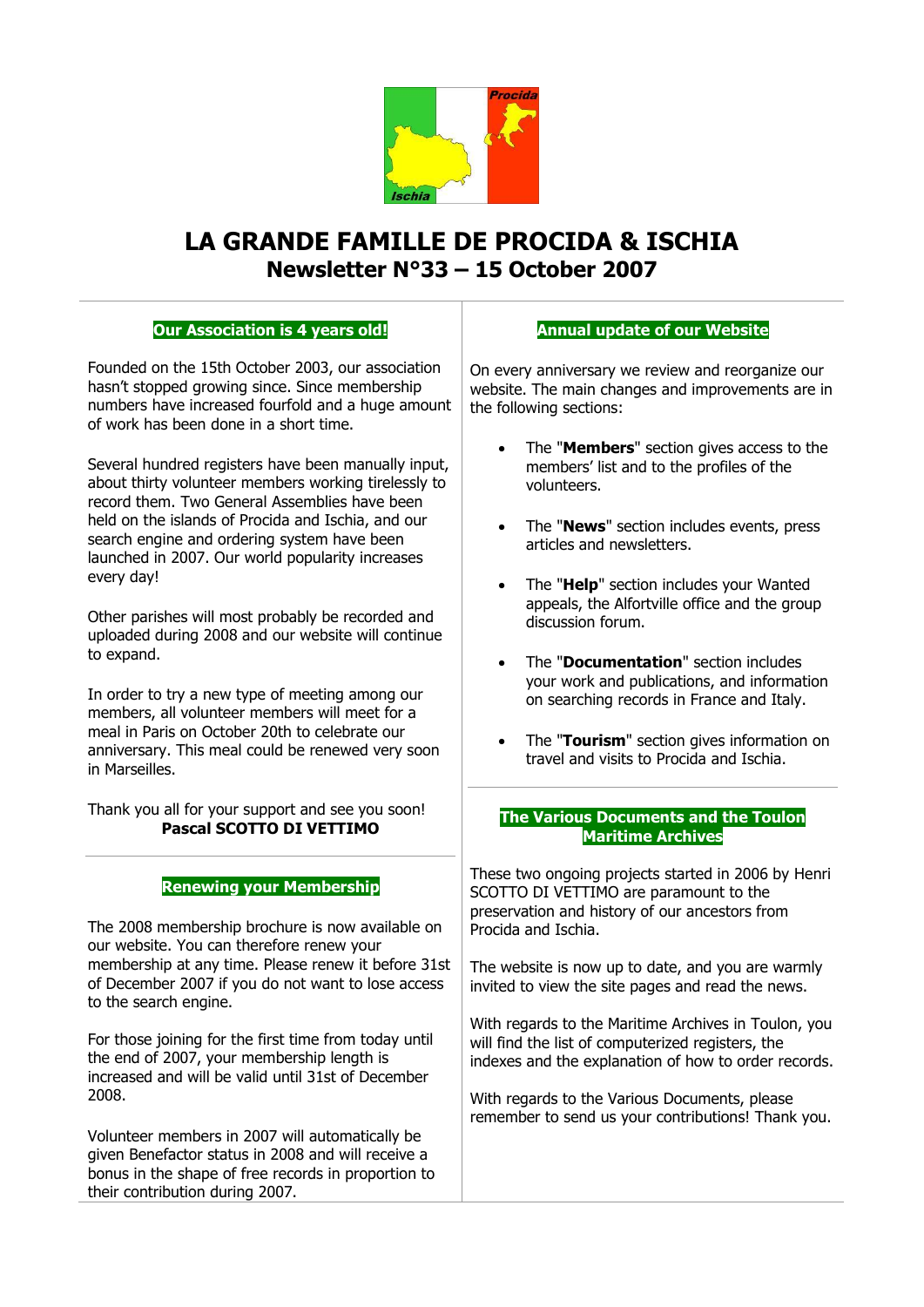

# **LA GRANDE FAMILLE DE PROCIDA & ISCHIA Newsletter N°33 – 15 October 2007**

## **Our Association is 4 years old!**

Founded on the 15th October 2003, our association hasn't stopped growing since. Since membership numbers have increased fourfold and a huge amount of work has been done in a short time.

Several hundred registers have been manually input, about thirty volunteer members working tirelessly to record them. Two General Assemblies have been held on the islands of Procida and Ischia, and our search engine and ordering system have been launched in 2007. Our world popularity increases every day!

Other parishes will most probably be recorded and uploaded during 2008 and our website will continue to expand.

In order to try a new type of meeting among our members, all volunteer members will meet for a meal in Paris on October 20th to celebrate our anniversary. This meal could be renewed very soon in Marseilles.

Thank you all for your support and see you soon! **Pascal SCOTTO DI VETTIMO**

## **Renewing your Membership**

The 2008 membership brochure is now available on our website. You can therefore renew your membership at any time. Please renew it before 31st of December 2007 if you do not want to lose access to the search engine.

For those joining for the first time from today until the end of 2007, your membership length is increased and will be valid until 31st of December 2008.

Volunteer members in 2007 will automatically be given Benefactor status in 2008 and will receive a bonus in the shape of free records in proportion to their contribution during 2007.

## **Annual update of our Website**

On every anniversary we review and reorganize our website. The main changes and improvements are in the following sections:

- The "**Members**" section gives access to the members' list and to the profiles of the volunteers.
- The "**News**" section includes events, press articles and newsletters.
- The "**Help**" section includes your Wanted appeals, the Alfortville office and the group discussion forum.
- The "**Documentation**" section includes your work and publications, and information on searching records in France and Italy.
- The "**Tourism**" section gives information on travel and visits to Procida and Ischia.

### **The Various Documents and the Toulon Maritime Archives**

These two ongoing projects started in 2006 by Henri SCOTTO DI VETTIMO are paramount to the preservation and history of our ancestors from Procida and Ischia.

The website is now up to date, and you are warmly invited to view the site pages and read the news.

With regards to the Maritime Archives in Toulon, you will find the list of computerized registers, the indexes and the explanation of how to order records.

With regards to the Various Documents, please remember to send us your contributions! Thank you.